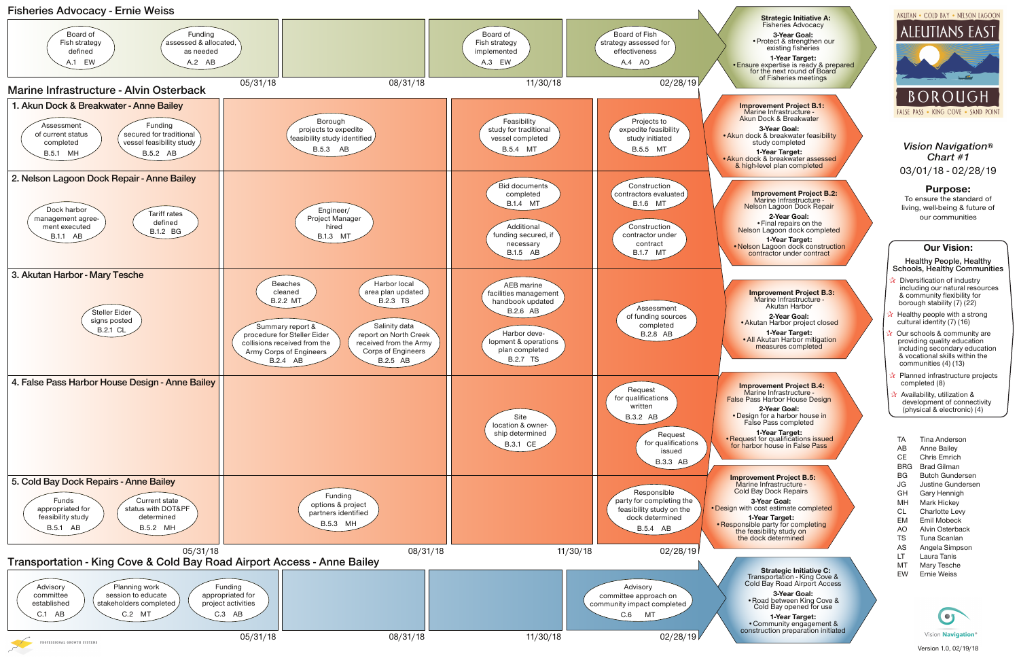**1-Year Target:** • Community engagement &<br>construction preparation initiated AKUTAN . COLD BAY . NELSON LAGOON





FALSE PASS . KING COVE . SAND POINT

Transportation - King Cove & Cold Bay Road Airport Access

**3-Year Goal:** •Road between King Cove & Cold Bay opened for use

# **Our Vision:**

**Healthy People, Healthy Schools, Healthy Communities**

- **Diversification of industry** including our natural resources & community flexibility for borough stability (7) (22)
- ☆ Healthy people with a strong cultural identity (7) (16)
- Our schools & community are providing quality education including secondary education & vocational skills within the communities (4) (13)
- Planned infrastructure projects completed (8)
- **Availability, utilization &** development of connectivity (physical & electronic) (4)
- TA Tina Anderson
- AB Anne Bailey
- CE Chris Emrich
- BRG Brad Gilman
- BG Butch Gundersen
- JG Justine Gundersen
- GH Gary Hennigh
- MH Mark Hickey
- CL Charlotte Levy
- EM Emil Mobeck
- AO Alvin Osterback TS Tuna Scanlan
- AS Angela Simpson
- LT Laura Tanis
- MT Mary Tesche
- EW Ernie Weiss



**1-Year Target:** •Akun dock & breakwater assessed & high-level plan completed

*Vision Navigation® Chart #1* 03/01/18 - 02/28/19

## **Purpose:**

To ensure the standard of living, well-being & future of our communities

 **Improvement Project B.2:** Marine Infrastructure Nelson Lagoon Dock Repair

**2-Year Goal:** •Final repairs on the Nelson Lagoon dock completed

**1-Year Target:** • Nelson Lagoon dock construction contractor under contract

> **Improvement Project B.3:** Marine Infrastructure Akutan Harbor

**2-Year Goal:** •Akutan Harbor project closed

**1-Year Target:** •All Akutan Harbor mitigation measures completed

**3-Year Goal:** • Design with cost estimate completed

 **Improvement Project B.4:** Marine Infrastructure - False Pass Harbor House Design

**2-Year Goal:** •Design for a harbor house in False Pass completed

**1-Year Target:** • Request for qualifications issued for harbor house in False Pass

 **Improvement Project B.1:** Marine Infrastructure - Akun Dock & Breakwater

**3-Year Goal:** • Akun dock & breakwater feasibility study completed



 **Improvement Project B.5:** Marine Infrastructure - Cold Bay Dock Repairs

**1-Year Target:** • Responsible party for completing the feasibility study on the dock determined

Fisheries Advocacy **3-Year Goal:**

•Protect & strengthen our existing fisheries

**1-Year Target:** •Ensure expertise is ready & prepared for the next round of Board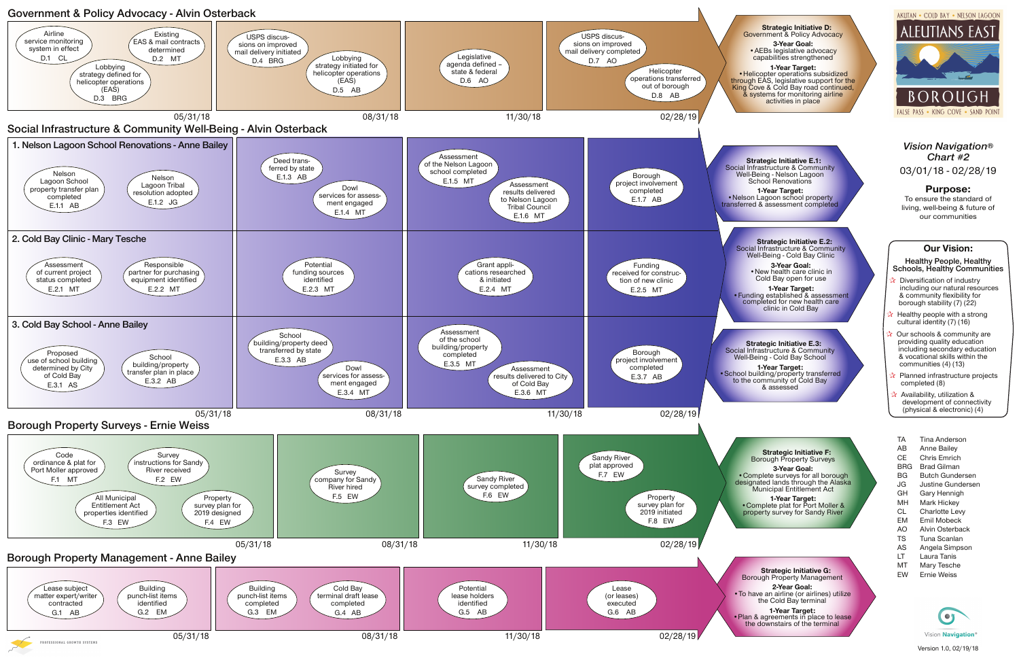**3-Year Goal:** • AEBs legislative advocacy capabilities strengthened

 **Strategic Initiative D:** Government & Policy Advocacy

### **1-Year Target:**

•Helicopter operations subsidized through EAS, legislative support for the King Cove & Cold Bay road continued, & systems for monitoring airline activities in place

 **Strategic Initiative E.1:** Social Infrastructure & Community Well-Being - Nelson Lagoon School Renovations

**1-Year Target:** • Nelson Lagoon school property transferred & assessment completed

> **Strategic Initiative F:** Borough Property Surveys

**3-Year Goal:** •Complete surveys for all borough designated lands through the Alaska Municipal Entitlement Act

**1-Year Target:** •Complete plat for Port Moller & property survey for Sandy River

 **Strategic Initiative E.2:** Social Infrastructure & Community Well-Being - Cold Bay Clinic

> **3-Year Goal:** •New health care clinic in Cold Bay open for use

**1-Year Target:** •Funding established & assessment completed for new health care clinic in Cold Bay

- Diversification of industry including our natural resources & community flexibility for borough stability (7) (22)
- ☆ Healthy people with a strong cultural identity (7) (16)
- Our schools & community are providing quality education including secondary education & vocational skills within the communities (4) (13)
- Planned infrastructure projects completed (8)
- **Availability, utilization &** development of connectivity (physical & electronic) (4)
- TA Tina Anderson
- AB Anne Bailey
- CE Chris Emrich
- BRG Brad Gilman
- BG Butch Gundersen
- JG Justine Gundersen
- GH Gary Hennigh
- MH Mark Hickey
- CL Charlotte Levy
- EM Emil Mobeck
- AO Alvin Osterback
- TS Tuna Scanlan
- AS Angela Simpson
- LT Laura Tanis
- MT Mary Tesche
- EW Ernie Weiss

![](_page_1_Picture_47.jpeg)

 **Strategic Initiative E.3:** Social Infrastructure & Community Well-Being - Cold Bay School

**1-Year Target:** •School building/property transferred to the community of Cold Bay & assessed

![](_page_1_Figure_0.jpeg)

## **Our Vision:**

**Healthy People, Healthy Schools, Healthy Communities**

*Vision Navigation® Chart #2* 03/01/18 - 02/28/19

## **Purpose:**

To ensure the standard of living, well-being & future of our communities

 **Strategic Initiative G:** Borough Property Management

**2-Year Goal:** •To have an airline (or airlines) utilize the Cold Bay terminal

**1-Year Target:** •Plan & agreements in place to lease the downstairs of the terminal

AKUTAN . COLD BAY . NELSON LAGOON

![](_page_1_Picture_19.jpeg)

![](_page_1_Picture_20.jpeg)